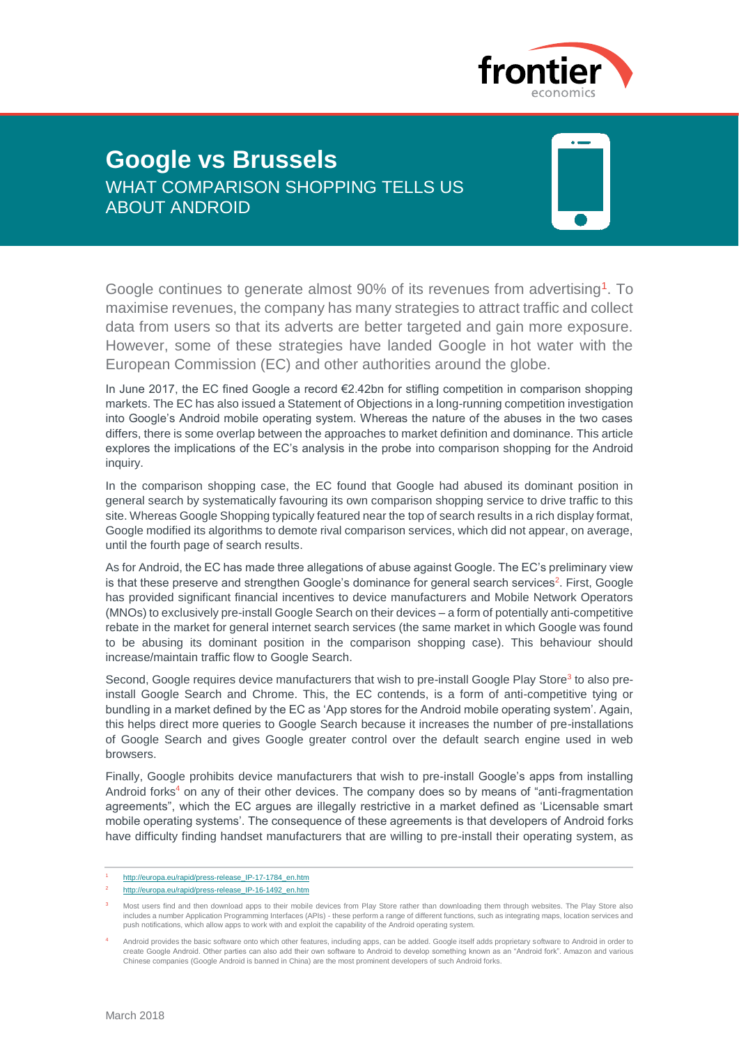

# **Google vs Brussels** WHAT COMPARISON SHOPPING TELLS US ABOUT ANDROID



Google continues to generate almost 90% of its revenues from advertising<sup>1</sup>. To maximise revenues, the company has many strategies to attract traffic and collect data from users so that its adverts are better targeted and gain more exposure. However, some of these strategies have landed Google in hot water with the European Commission (EC) and other authorities around the globe.

In June 2017, the EC fined Google a record €2.42bn for stifling competition in comparison shopping markets. The EC has also issued a Statement of Objections in a long-running competition investigation into Google's Android mobile operating system. Whereas the nature of the abuses in the two cases differs, there is some overlap between the approaches to market definition and dominance. This article explores the implications of the EC's analysis in the probe into comparison shopping for the Android inquiry.

In the comparison shopping case, the EC found that Google had abused its dominant position in general search by systematically favouring its own comparison shopping service to drive traffic to this site. Whereas Google Shopping typically featured near the top of search results in a rich display format, Google modified its algorithms to demote rival comparison services, which did not appear, on average, until the fourth page of search results.

As for Android, the EC has made three allegations of abuse against Google. The EC's preliminary view is that these preserve and strengthen Google's dominance for general search services<sup>2</sup>. First, Google has provided significant financial incentives to device manufacturers and Mobile Network Operators (MNOs) to exclusively pre-install Google Search on their devices – a form of potentially anti-competitive rebate in the market for general internet search services (the same market in which Google was found to be abusing its dominant position in the comparison shopping case). This behaviour should increase/maintain traffic flow to Google Search.

Second, Google requires device manufacturers that wish to pre-install Google Play Store<sup>3</sup> to also preinstall Google Search and Chrome. This, the EC contends, is a form of anti-competitive tying or bundling in a market defined by the EC as 'App stores for the Android mobile operating system'. Again, this helps direct more queries to Google Search because it increases the number of pre-installations of Google Search and gives Google greater control over the default search engine used in web browsers.

Finally, Google prohibits device manufacturers that wish to pre-install Google's apps from installing Android forks<sup>4</sup> on any of their other devices. The company does so by means of "anti-fragmentation agreements", which the EC argues are illegally restrictive in a market defined as 'Licensable smart mobile operating systems'. The consequence of these agreements is that developers of Android forks have difficulty finding handset manufacturers that are willing to pre-install their operating system, as

<sup>1</sup> [http://europa.eu/rapid/press-release\\_IP-17-1784\\_en.htm](http://europa.eu/rapid/press-release_IP-17-1784_en.htm)

[http://europa.eu/rapid/press-release\\_IP-16-1492\\_en.htm](http://europa.eu/rapid/press-release_IP-16-1492_en.htm)

<sup>3</sup> Most users find and then download apps to their mobile devices from Play Store rather than downloading them through websites. The Play Store also includes a number Application Programming Interfaces (APIs) - these perform a range of different functions, such as integrating maps, location services and push notifications, which allow apps to work with and exploit the capability of the Android operating system.

Android provides the basic software onto which other features, including apps, can be added. Google itself adds proprietary software to Android in order to create Google Android. Other parties can also add their own softwa Chinese companies (Google Android is banned in China) are the most prominent developers of such Android forks.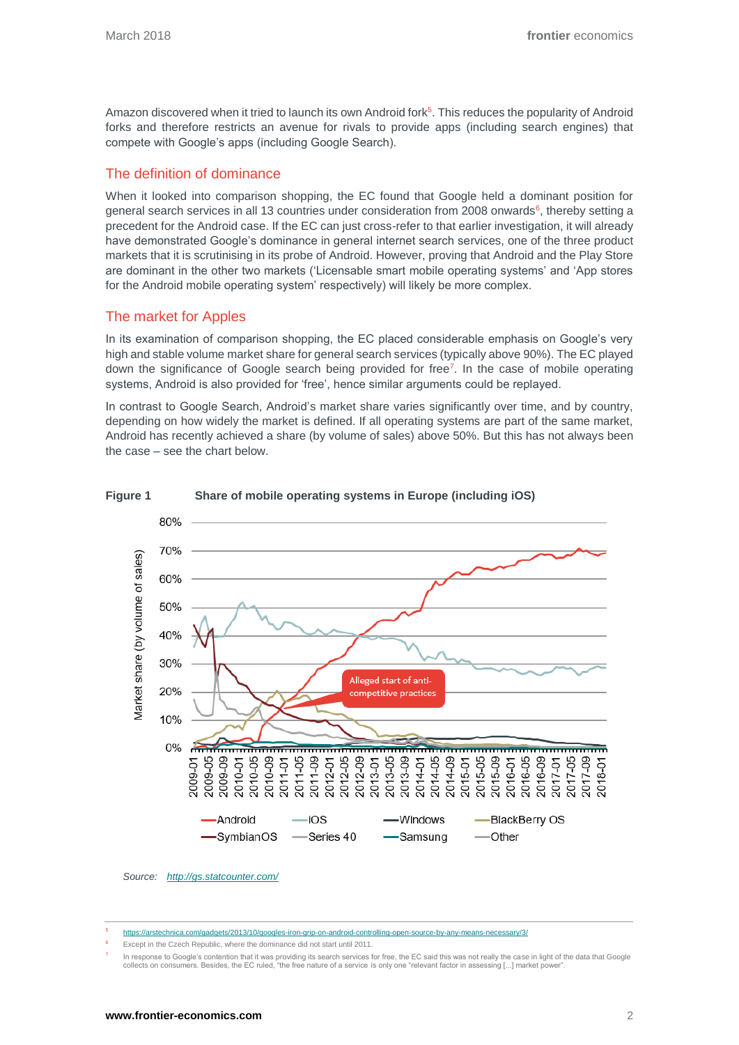Amazon discovered when it tried to launch its own Android fork<sup>5</sup>. This reduces the popularity of Android forks and therefore restricts an avenue for rivals to provide apps (including search engines) that compete with Google's apps (including Google Search).

## The definition of dominance

When it looked into comparison shopping, the EC found that Google held a dominant position for general search services in all 13 countries under consideration from 2008 onwards<sup>6</sup>, thereby setting a precedent for the Android case. If the EC can just cross-refer to that earlier investigation, it will already have demonstrated Google's dominance in general internet search services, one of the three product markets that it is scrutinising in its probe of Android. However, proving that Android and the Play Store are dominant in the other two markets ('Licensable smart mobile operating systems' and 'App stores for the Android mobile operating system' respectively) will likely be more complex.

# The market for Apples

In its examination of comparison shopping, the EC placed considerable emphasis on Google's very high and stable volume market share for general search services (typically above 90%). The EC played down the significance of Google search being provided for free<sup>7</sup>. In the case of mobile operating systems, Android is also provided for 'free', hence similar arguments could be replayed.

In contrast to Google Search, Android's market share varies significantly over time, and by country, depending on how widely the market is defined. If all operating systems are part of the same market, Android has recently achieved a share (by volume of sales) above 50%. But this has not always been the case – see the chart below.



#### **Figure 1 Share of mobile operating systems in Europe (including iOS)**

- m/gadgets/2013/10/googles-iron-grip-on-android-controlling-open-source-by-any-means-ne
- Except in the Czech Republic, where the dominance did not start until 2011.

7 In response to Google's contention that it was providing its search services for free, the EC said this was not really the case in light of the data that Google<br>collects on consumers. Besides, the EC ruled, "the free natur

*Source: <http://gs.statcounter.com/>*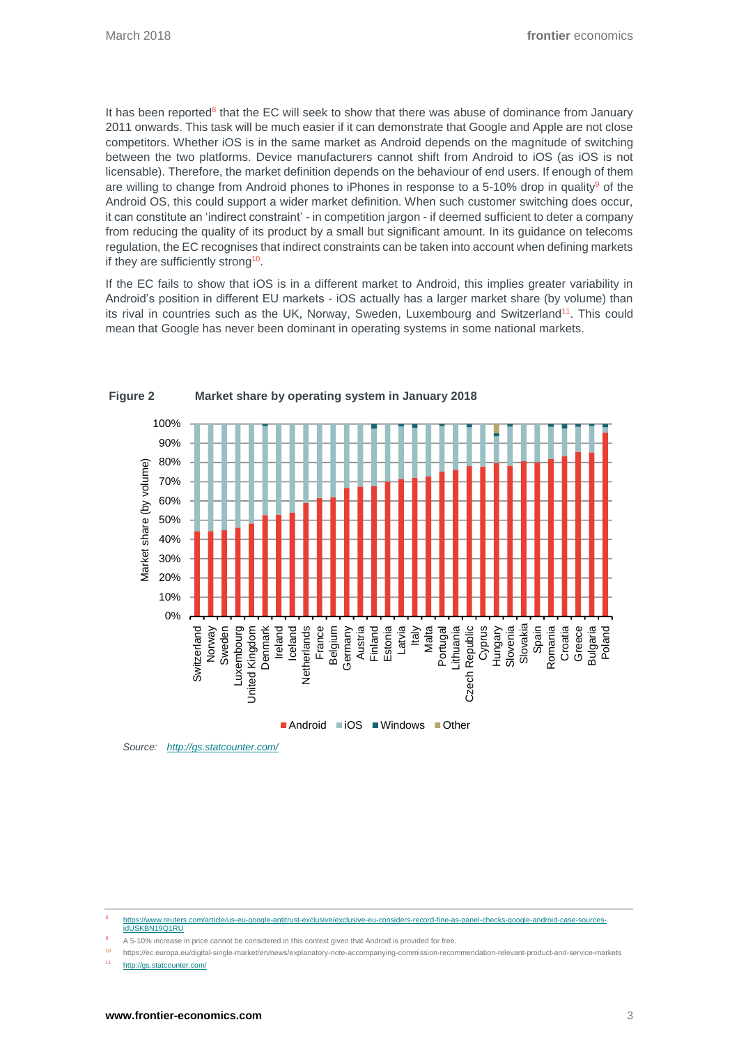It has been reported<sup>8</sup> that the EC will seek to show that there was abuse of dominance from January 2011 onwards. This task will be much easier if it can demonstrate that Google and Apple are not close competitors. Whether iOS is in the same market as Android depends on the magnitude of switching between the two platforms. Device manufacturers cannot shift from Android to iOS (as iOS is not licensable). Therefore, the market definition depends on the behaviour of end users. If enough of them are willing to change from Android phones to iPhones in response to a 5-10% drop in quality<sup>9</sup> of the Android OS, this could support a wider market definition. When such customer switching does occur, it can constitute an 'indirect constraint' - in competition jargon - if deemed sufficient to deter a company from reducing the quality of its product by a small but significant amount. In its guidance on telecoms regulation, the EC recognises that indirect constraints can be taken into account when defining markets if they are sufficiently strong<sup>10</sup>.

If the EC fails to show that iOS is in a different market to Android, this implies greater variability in Android's position in different EU markets - iOS actually has a larger market share (by volume) than its rival in countries such as the UK, Norway, Sweden, Luxembourg and Switzerland<sup>11</sup>. This could mean that Google has never been dominant in operating systems in some national markets.



**Figure 2 Market share by operating system in January 2018**



8 [https://www.reuters.com/article/us-eu-google-antitrust-exclusive/exclusive-eu-considers-record-fine-as-panel-checks-google-android-case-sources](https://www.reuters.com/article/us-eu-google-antitrust-exclusive/exclusive-eu-considers-record-fine-as-panel-checks-google-android-case-sources-idUSKBN19Q1RU)[idUSKBN19Q1RU](https://www.reuters.com/article/us-eu-google-antitrust-exclusive/exclusive-eu-considers-record-fine-as-panel-checks-google-android-case-sources-idUSKBN19Q1RU)

A 5-10% increase in price cannot be considered in this context given that Android is provided for free.

<sup>10</sup> https://ec.europa.eu/digital-single-market/en/news/explanatory-note-accompanying-commission-recommendation-relevant-product-and-service-markets <sup>11</sup> <http://gs.statcounter.com/>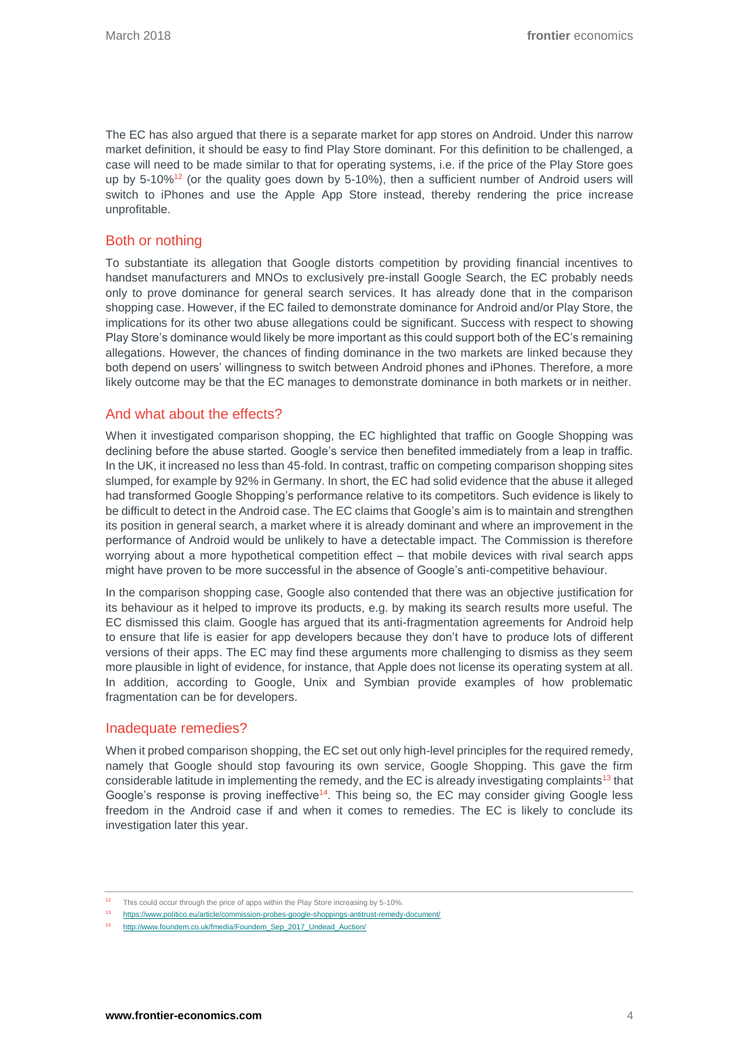The EC has also argued that there is a separate market for app stores on Android. Under this narrow market definition, it should be easy to find Play Store dominant. For this definition to be challenged, a case will need to be made similar to that for operating systems, i.e. if the price of the Play Store goes up by 5-10%<sup>12</sup> (or the quality goes down by 5-10%), then a sufficient number of Android users will switch to iPhones and use the Apple App Store instead, thereby rendering the price increase unprofitable.

# Both or nothing

To substantiate its allegation that Google distorts competition by providing financial incentives to handset manufacturers and MNOs to exclusively pre-install Google Search, the EC probably needs only to prove dominance for general search services. It has already done that in the comparison shopping case. However, if the EC failed to demonstrate dominance for Android and/or Play Store, the implications for its other two abuse allegations could be significant. Success with respect to showing Play Store's dominance would likely be more important as this could support both of the EC's remaining allegations. However, the chances of finding dominance in the two markets are linked because they both depend on users' willingness to switch between Android phones and iPhones. Therefore, a more likely outcome may be that the EC manages to demonstrate dominance in both markets or in neither.

## And what about the effects?

When it investigated comparison shopping, the EC highlighted that traffic on Google Shopping was declining before the abuse started. Google's service then benefited immediately from a leap in traffic. In the UK, it increased no less than 45-fold. In contrast, traffic on competing comparison shopping sites slumped, for example by 92% in Germany. In short, the EC had solid evidence that the abuse it alleged had transformed Google Shopping's performance relative to its competitors. Such evidence is likely to be difficult to detect in the Android case. The EC claims that Google's aim is to maintain and strengthen its position in general search, a market where it is already dominant and where an improvement in the performance of Android would be unlikely to have a detectable impact. The Commission is therefore worrying about a more hypothetical competition effect – that mobile devices with rival search apps might have proven to be more successful in the absence of Google's anti-competitive behaviour.

In the comparison shopping case, Google also contended that there was an objective justification for its behaviour as it helped to improve its products, e.g. by making its search results more useful. The EC dismissed this claim. Google has argued that its anti-fragmentation agreements for Android help to ensure that life is easier for app developers because they don't have to produce lots of different versions of their apps. The EC may find these arguments more challenging to dismiss as they seem more plausible in light of evidence, for instance, that Apple does not license its operating system at all. In addition, according to Google, Unix and Symbian provide examples of how problematic fragmentation can be for developers.

### Inadequate remedies?

When it probed comparison shopping, the EC set out only high-level principles for the required remedy, namely that Google should stop favouring its own service, Google Shopping. This gave the firm considerable latitude in implementing the remedy, and the EC is already investigating complaints<sup>13</sup> that Google's response is proving ineffective<sup>14</sup>. This being so, the EC may consider giving Google less freedom in the Android case if and when it comes to remedies. The EC is likely to conclude its investigation later this year.

<sup>&</sup>lt;sup>12</sup> This could occur through the price of apps within the Play Store increasing by 5-10%.

<sup>13</sup> <https://www.politico.eu/article/commission-probes-google-shoppings-antitrust-remedy-document/>

[http://www.foundem.co.uk/fmedia/Foundem\\_Sep\\_2017\\_Undead\\_Auction/](http://www.foundem.co.uk/fmedia/Foundem_Sep_2017_Undead_Auction/)